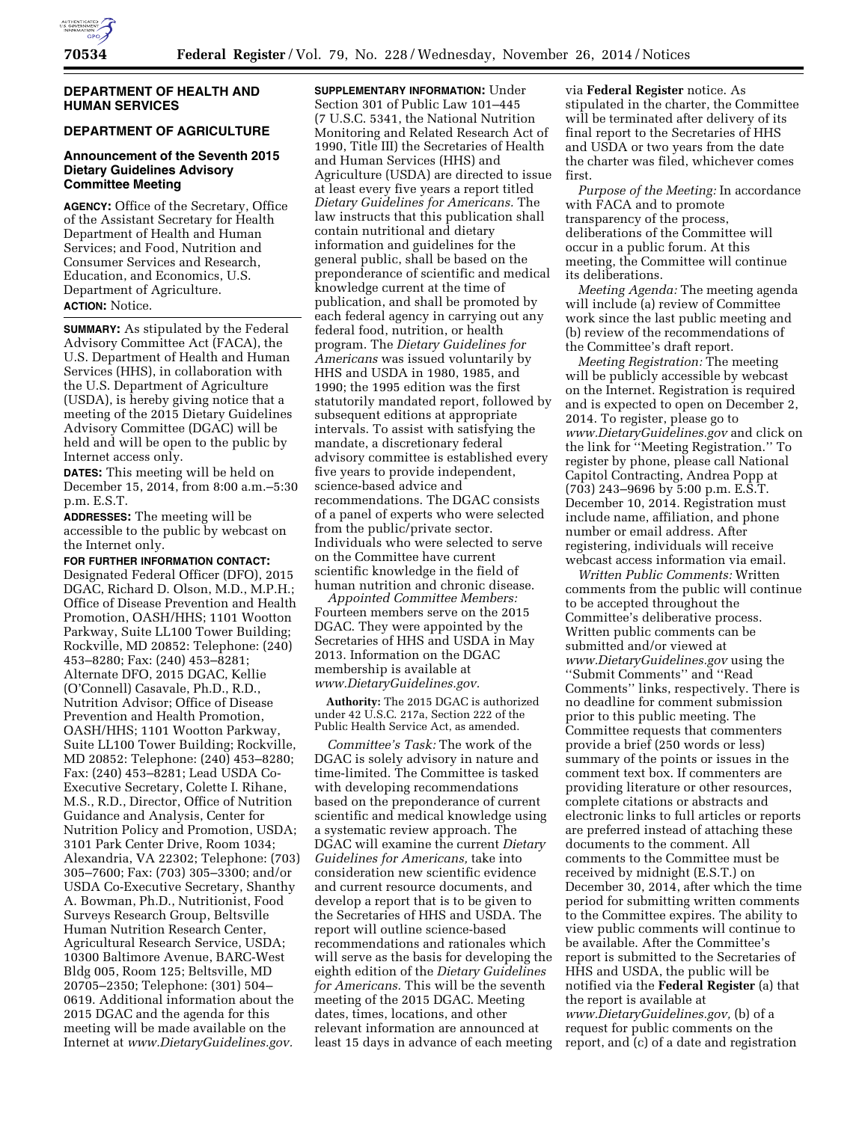

## **DEPARTMENT OF HEALTH AND HUMAN SERVICES**

# **DEPARTMENT OF AGRICULTURE**

# **Announcement of the Seventh 2015 Dietary Guidelines Advisory Committee Meeting**

**AGENCY:** Office of the Secretary, Office of the Assistant Secretary for Health Department of Health and Human Services; and Food, Nutrition and Consumer Services and Research, Education, and Economics, U.S. Department of Agriculture. **ACTION:** Notice.

**SUMMARY:** As stipulated by the Federal Advisory Committee Act (FACA), the U.S. Department of Health and Human Services (HHS), in collaboration with the U.S. Department of Agriculture (USDA), is hereby giving notice that a meeting of the 2015 Dietary Guidelines Advisory Committee (DGAC) will be held and will be open to the public by Internet access only.

**DATES:** This meeting will be held on December 15, 2014, from 8:00 a.m.–5:30 p.m. E.S.T.

**ADDRESSES:** The meeting will be accessible to the public by webcast on the Internet only.

**FOR FURTHER INFORMATION CONTACT:**  Designated Federal Officer (DFO), 2015 DGAC, Richard D. Olson, M.D., M.P.H.; Office of Disease Prevention and Health Promotion, OASH/HHS; 1101 Wootton Parkway, Suite LL100 Tower Building; Rockville, MD 20852: Telephone: (240) 453–8280; Fax: (240) 453–8281; Alternate DFO, 2015 DGAC, Kellie (O'Connell) Casavale, Ph.D., R.D., Nutrition Advisor; Office of Disease Prevention and Health Promotion, OASH/HHS; 1101 Wootton Parkway, Suite LL100 Tower Building; Rockville, MD 20852: Telephone: (240) 453–8280; Fax: (240) 453–8281; Lead USDA Co-Executive Secretary, Colette I. Rihane, M.S., R.D., Director, Office of Nutrition Guidance and Analysis, Center for Nutrition Policy and Promotion, USDA; 3101 Park Center Drive, Room 1034; Alexandria, VA 22302; Telephone: (703) 305–7600; Fax: (703) 305–3300; and/or USDA Co-Executive Secretary, Shanthy A. Bowman, Ph.D., Nutritionist, Food Surveys Research Group, Beltsville Human Nutrition Research Center, Agricultural Research Service, USDA; 10300 Baltimore Avenue, BARC-West Bldg 005, Room 125; Beltsville, MD 20705–2350; Telephone: (301) 504– 0619. Additional information about the 2015 DGAC and the agenda for this meeting will be made available on the Internet at *[www.DietaryGuidelines.gov.](http://www.DietaryGuidelines.gov)* 

**SUPPLEMENTARY INFORMATION:** Under Section 301 of Public Law 101–445 (7 U.S.C. 5341, the National Nutrition Monitoring and Related Research Act of 1990, Title III) the Secretaries of Health and Human Services (HHS) and Agriculture (USDA) are directed to issue at least every five years a report titled *Dietary Guidelines for Americans.* The law instructs that this publication shall contain nutritional and dietary information and guidelines for the general public, shall be based on the preponderance of scientific and medical knowledge current at the time of publication, and shall be promoted by each federal agency in carrying out any federal food, nutrition, or health program. The *Dietary Guidelines for Americans* was issued voluntarily by HHS and USDA in 1980, 1985, and 1990; the 1995 edition was the first statutorily mandated report, followed by subsequent editions at appropriate intervals. To assist with satisfying the mandate, a discretionary federal advisory committee is established every five years to provide independent, science-based advice and recommendations. The DGAC consists of a panel of experts who were selected from the public/private sector. Individuals who were selected to serve on the Committee have current scientific knowledge in the field of human nutrition and chronic disease.

*Appointed Committee Members:*  Fourteen members serve on the 2015 DGAC. They were appointed by the Secretaries of HHS and USDA in May 2013. Information on the DGAC membership is available at *[www.DietaryGuidelines.gov.](http://www.DietaryGuidelines.gov)* 

**Authority:** The 2015 DGAC is authorized under 42 U.S.C. 217a, Section 222 of the Public Health Service Act, as amended.

*Committee's Task:* The work of the DGAC is solely advisory in nature and time-limited. The Committee is tasked with developing recommendations based on the preponderance of current scientific and medical knowledge using a systematic review approach. The DGAC will examine the current *Dietary Guidelines for Americans,* take into consideration new scientific evidence and current resource documents, and develop a report that is to be given to the Secretaries of HHS and USDA. The report will outline science-based recommendations and rationales which will serve as the basis for developing the eighth edition of the *Dietary Guidelines for Americans.* This will be the seventh meeting of the 2015 DGAC. Meeting dates, times, locations, and other relevant information are announced at least 15 days in advance of each meeting

via **Federal Register** notice. As stipulated in the charter, the Committee will be terminated after delivery of its final report to the Secretaries of HHS and USDA or two years from the date the charter was filed, whichever comes first.

*Purpose of the Meeting:* In accordance with FACA and to promote transparency of the process, deliberations of the Committee will occur in a public forum. At this meeting, the Committee will continue its deliberations.

*Meeting Agenda:* The meeting agenda will include (a) review of Committee work since the last public meeting and (b) review of the recommendations of the Committee's draft report.

*Meeting Registration:* The meeting will be publicly accessible by webcast on the Internet. Registration is required and is expected to open on December 2, 2014. To register, please go to *[www.DietaryGuidelines.gov](http://www.DietaryGuidelines.gov)* and click on the link for ''Meeting Registration.'' To register by phone, please call National Capitol Contracting, Andrea Popp at (703) 243–9696 by 5:00 p.m. E.S.T. December 10, 2014. Registration must include name, affiliation, and phone number or email address. After registering, individuals will receive webcast access information via email.

*Written Public Comments:* Written comments from the public will continue to be accepted throughout the Committee's deliberative process. Written public comments can be submitted and/or viewed at *[www.DietaryGuidelines.gov](http://www.DietaryGuidelines.gov)* using the ''Submit Comments'' and ''Read Comments'' links, respectively. There is no deadline for comment submission prior to this public meeting. The Committee requests that commenters provide a brief (250 words or less) summary of the points or issues in the comment text box. If commenters are providing literature or other resources, complete citations or abstracts and electronic links to full articles or reports are preferred instead of attaching these documents to the comment. All comments to the Committee must be received by midnight (E.S.T.) on December 30, 2014, after which the time period for submitting written comments to the Committee expires. The ability to view public comments will continue to be available. After the Committee's report is submitted to the Secretaries of HHS and USDA, the public will be notified via the **Federal Register** (a) that the report is available at *[www.DietaryGuidelines.gov,](http://www.DietaryGuidelines.gov)* (b) of a request for public comments on the report, and (c) of a date and registration